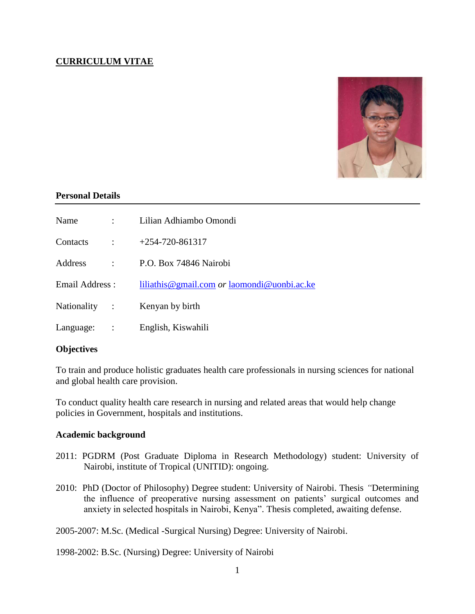# **CURRICULUM VITAE**



### **Personal Details**

| Name            |                      | Lilian Adhiambo Omondi                               |
|-----------------|----------------------|------------------------------------------------------|
| Contacts        | $\ddot{\cdot}$       | $+254-720-861317$                                    |
| Address         | $\ddot{\phantom{a}}$ | P.O. Box 74846 Nairobi                               |
| Email Address : |                      | liliathis @gmail.com <i>or</i> laomondi @uonbi.ac.ke |
| Nationality :   |                      | Kenyan by birth                                      |
| Language:       | $\mathbf{r}$         | English, Kiswahili                                   |

### **Objectives**

To train and produce holistic graduates health care professionals in nursing sciences for national and global health care provision.

To conduct quality health care research in nursing and related areas that would help change policies in Government, hospitals and institutions.

### **Academic background**

- 2011: PGDRM (Post Graduate Diploma in Research Methodology) student: University of Nairobi, institute of Tropical (UNITID): ongoing.
- 2010: PhD (Doctor of Philosophy) Degree student: University of Nairobi. Thesis *"*Determining the influence of preoperative nursing assessment on patients' surgical outcomes and anxiety in selected hospitals in Nairobi, Kenya". Thesis completed, awaiting defense.

2005-2007: M.Sc. (Medical -Surgical Nursing) Degree: University of Nairobi.

1998-2002: B.Sc. (Nursing) Degree: University of Nairobi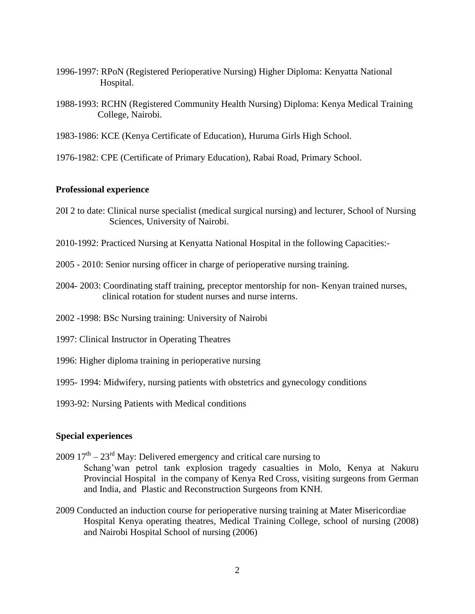- 1996-1997: RPoN (Registered Perioperative Nursing) Higher Diploma: Kenyatta National Hospital.
- 1988-1993: RCHN (Registered Community Health Nursing) Diploma: Kenya Medical Training College, Nairobi.
- 1983-1986: KCE (Kenya Certificate of Education), Huruma Girls High School.
- 1976-1982: CPE (Certificate of Primary Education), Rabai Road, Primary School.

# **Professional experience**

- 20I 2 to date: Clinical nurse specialist (medical surgical nursing) and lecturer, School of Nursing Sciences, University of Nairobi.
- 2010-1992: Practiced Nursing at Kenyatta National Hospital in the following Capacities:-
- 2005 2010: Senior nursing officer in charge of perioperative nursing training.
- 2004- 2003: Coordinating staff training, preceptor mentorship for non- Kenyan trained nurses, clinical rotation for student nurses and nurse interns.
- 2002 -1998: BSc Nursing training: University of Nairobi
- 1997: Clinical Instructor in Operating Theatres
- 1996: Higher diploma training in perioperative nursing
- 1995- 1994: Midwifery, nursing patients with obstetrics and gynecology conditions
- 1993-92: Nursing Patients with Medical conditions

#### **Special experiences**

- $2009 \, 17<sup>th</sup> 23<sup>rd</sup>$  May: Delivered emergency and critical care nursing to Schang'wan petrol tank explosion tragedy casualties in Molo, Kenya at Nakuru Provincial Hospital in the company of Kenya Red Cross, visiting surgeons from German and India, and Plastic and Reconstruction Surgeons from KNH.
- 2009 Conducted an induction course for perioperative nursing training at Mater Misericordiae Hospital Kenya operating theatres, Medical Training College, school of nursing (2008) and Nairobi Hospital School of nursing (2006)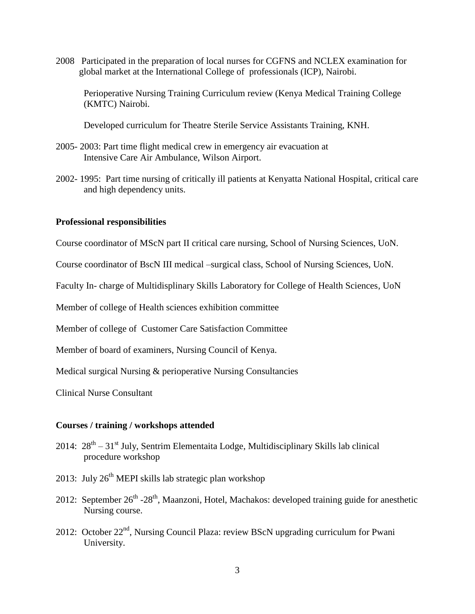2008 Participated in the preparation of local nurses for CGFNS and NCLEX examination for global market at the International College of professionals (ICP), Nairobi.

Perioperative Nursing Training Curriculum review (Kenya Medical Training College (KMTC) Nairobi.

Developed curriculum for Theatre Sterile Service Assistants Training, KNH.

- 2005- 2003: Part time flight medical crew in emergency air evacuation at Intensive Care Air Ambulance, Wilson Airport.
- 2002- 1995: Part time nursing of critically ill patients at Kenyatta National Hospital, critical care and high dependency units.

#### **Professional responsibilities**

Course coordinator of MScN part II critical care nursing, School of Nursing Sciences, UoN.

Course coordinator of BscN III medical –surgical class, School of Nursing Sciences, UoN.

Faculty In- charge of Multidisplinary Skills Laboratory for College of Health Sciences, UoN

Member of college of Health sciences exhibition committee

Member of college of Customer Care Satisfaction Committee

Member of board of examiners, Nursing Council of Kenya.

Medical surgical Nursing & perioperative Nursing Consultancies

Clinical Nurse Consultant

#### **Courses / training / workshops attended**

- 2014:  $28^{th} 31^{st}$  July, Sentrim Elementaita Lodge, Multidisciplinary Skills lab clinical procedure workshop
- 2013: July  $26<sup>th</sup>$  MEPI skills lab strategic plan workshop
- 2012: September  $26^{th}$  - $28^{th}$ , Maanzoni, Hotel, Machakos: developed training guide for anesthetic Nursing course.
- 2012: October 22nd, Nursing Council Plaza: review BScN upgrading curriculum for Pwani University.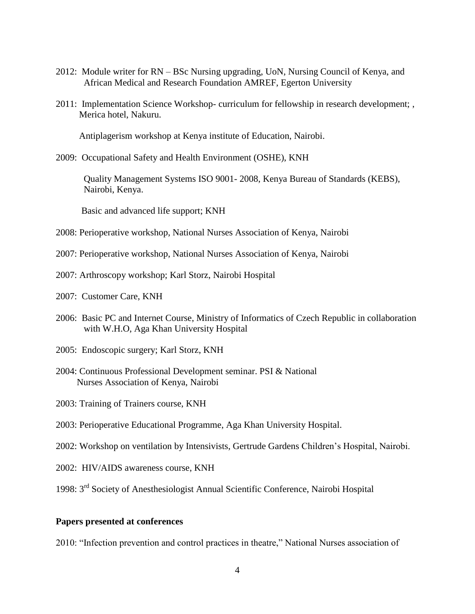- 2012: Module writer for RN BSc Nursing upgrading, UoN, Nursing Council of Kenya, and African Medical and Research Foundation AMREF, Egerton University
- 2011: Implementation Science Workshop- curriculum for fellowship in research development; , Merica hotel, Nakuru.

Antiplagerism workshop at Kenya institute of Education, Nairobi.

2009: Occupational Safety and Health Environment (OSHE), KNH

Quality Management Systems ISO 9001- 2008, Kenya Bureau of Standards (KEBS), Nairobi, Kenya.

Basic and advanced life support; KNH

- 2008: Perioperative workshop, National Nurses Association of Kenya, Nairobi
- 2007: Perioperative workshop, National Nurses Association of Kenya, Nairobi
- 2007: Arthroscopy workshop; Karl Storz, Nairobi Hospital
- 2007: Customer Care, KNH
- 2006: Basic PC and Internet Course, Ministry of Informatics of Czech Republic in collaboration with W.H.O, Aga Khan University Hospital
- 2005: Endoscopic surgery; Karl Storz, KNH
- 2004: Continuous Professional Development seminar. PSI & National Nurses Association of Kenya, Nairobi
- 2003: Training of Trainers course, KNH
- 2003: Perioperative Educational Programme, Aga Khan University Hospital.
- 2002: Workshop on ventilation by Intensivists, Gertrude Gardens Children's Hospital, Nairobi.
- 2002: HIV/AIDS awareness course, KNH
- 1998: 3rd Society of Anesthesiologist Annual Scientific Conference, Nairobi Hospital

#### **Papers presented at conferences**

2010: "Infection prevention and control practices in theatre," National Nurses association of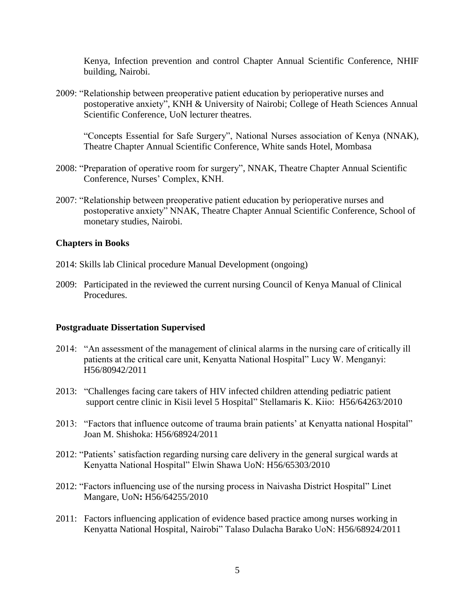Kenya, Infection prevention and control Chapter Annual Scientific Conference, NHIF building, Nairobi.

2009: "Relationship between preoperative patient education by perioperative nurses and postoperative anxiety", KNH & University of Nairobi; College of Heath Sciences Annual Scientific Conference, UoN lecturer theatres.

"Concepts Essential for Safe Surgery", National Nurses association of Kenya (NNAK), Theatre Chapter Annual Scientific Conference, White sands Hotel, Mombasa

- 2008: "Preparation of operative room for surgery", NNAK, Theatre Chapter Annual Scientific Conference, Nurses' Complex, KNH.
- 2007: "Relationship between preoperative patient education by perioperative nurses and postoperative anxiety" NNAK, Theatre Chapter Annual Scientific Conference, School of monetary studies, Nairobi.

### **Chapters in Books**

- 2014: Skills lab Clinical procedure Manual Development (ongoing)
- 2009: Participated in the reviewed the current nursing Council of Kenya Manual of Clinical Procedures.

### **Postgraduate Dissertation Supervised**

- 2014: "An assessment of the management of clinical alarms in the nursing care of critically ill patients at the critical care unit, Kenyatta National Hospital" Lucy W. Menganyi: H56/80942/2011
- 2013: "Challenges facing care takers of HIV infected children attending pediatric patient support centre clinic in Kisii level 5 Hospital" Stellamaris K. Kiio: H56/64263/2010
- 2013: "Factors that influence outcome of trauma brain patients' at Kenyatta national Hospital" Joan M. Shishoka: H56/68924/2011
- 2012: "Patients' satisfaction regarding nursing care delivery in the general surgical wards at Kenyatta National Hospital" Elwin Shawa UoN: H56/65303/2010
- 2012: "Factors influencing use of the nursing process in Naivasha District Hospital" Linet Mangare, UoN**:** H56/64255/2010
- 2011: Factors influencing application of evidence based practice among nurses working in Kenyatta National Hospital, Nairobi" Talaso Dulacha Barako UoN: H56/68924/2011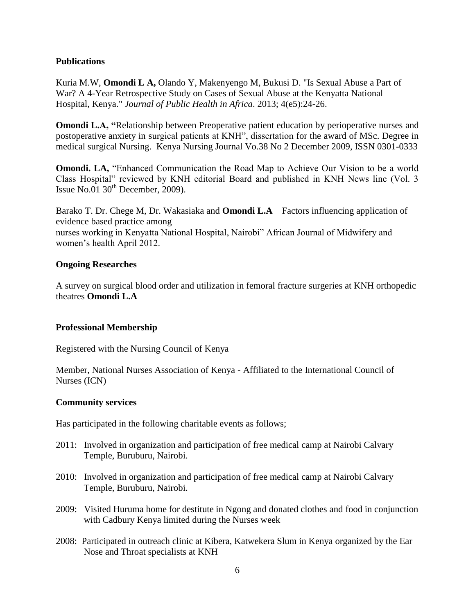# **Publications**

Kuria M.W, **Omondi L A,** Olando Y, Makenyengo M, Bukusi D. "Is Sexual Abuse a Part of War? A 4-Year Retrospective Study on Cases of Sexual Abuse at the Kenyatta National Hospital, Kenya." *Journal of Public Health in Africa*. 2013; 4(e5):24-26.

**Omondi L.A, "Relationship between Preoperative patient education by perioperative nurses and** postoperative anxiety in surgical patients at KNH", dissertation for the award of MSc. Degree in medical surgical Nursing. Kenya Nursing Journal Vo.38 No 2 December 2009, ISSN 0301-0333

**Omondi. LA,** "Enhanced Communication the Road Map to Achieve Our Vision to be a world Class Hospital" reviewed by KNH editorial Board and published in KNH News line (Vol. 3 Issue No.01  $30<sup>th</sup>$  December, 2009).

Barako T. Dr. Chege M, Dr. Wakasiaka and **Omondi L.A** Factors influencing application of evidence based practice among nurses working in Kenyatta National Hospital, Nairobi" African Journal of Midwifery and women's health April 2012.

# **Ongoing Researches**

A survey on surgical blood order and utilization in femoral fracture surgeries at KNH orthopedic theatres **Omondi L.A**

### **Professional Membership**

Registered with the Nursing Council of Kenya

Member, National Nurses Association of Kenya - Affiliated to the International Council of Nurses (ICN)

### **Community services**

Has participated in the following charitable events as follows;

- 2011: Involved in organization and participation of free medical camp at Nairobi Calvary Temple, Buruburu, Nairobi.
- 2010: Involved in organization and participation of free medical camp at Nairobi Calvary Temple, Buruburu, Nairobi.
- 2009: Visited Huruma home for destitute in Ngong and donated clothes and food in conjunction with Cadbury Kenya limited during the Nurses week
- 2008: Participated in outreach clinic at Kibera, Katwekera Slum in Kenya organized by the Ear Nose and Throat specialists at KNH